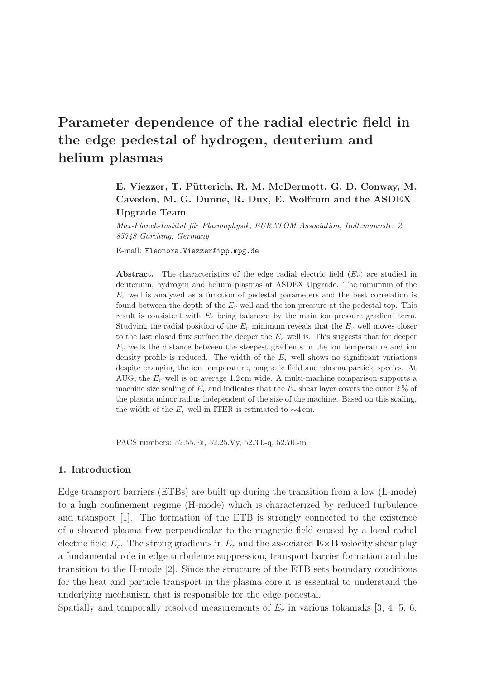# Parameter dependence of the radial electric field in the edge pedestal of hydrogen, deuterium and helium plasmas

# E. Viezzer, T. Pütterich, R. M. McDermott, G. D. Conway, M. Cavedon, M. G. Dunne, R. Dux, E. Wolfrum and the ASDEX Upgrade Team

Max-Planck-Institut für Plasmaphysik, EURATOM Association, Boltzmannstr. 2, 85748 Garching, Germany

E-mail: Eleonora.Viezzer@ipp.mpg.de

**Abstract.** The characteristics of the edge radial electric field  $(E_r)$  are studied in deuterium, hydrogen and helium plasmas at ASDEX Upgrade. The minimum of the  $E_r$  well is analyzed as a function of pedestal parameters and the best correlation is found between the depth of the  $E_r$  well and the ion pressure at the pedestal top. This result is consistent with  $E_r$  being balanced by the main ion pressure gradient term. Studying the radial position of the  $E_r$  minimum reveals that the  $E_r$  well moves closer to the last closed flux surface the deeper the  $E_r$  well is. This suggests that for deeper  $E<sub>r</sub>$  wells the distance between the steepest gradients in the ion temperature and ion density profile is reduced. The width of the  $E<sub>r</sub>$  well shows no significant variations despite changing the ion temperature, magnetic field and plasma particle species. At AUG, the  $E_r$  well is on average 1.2 cm wide. A multi-machine comparison supports a machine size scaling of  $E_r$  and indicates that the  $E_r$  shear layer covers the outer 2 % of the plasma minor radius independent of the size of the machine. Based on this scaling, the width of the  $E_r$  well in ITER is estimated to  $\sim$ 4 cm.

PACS numbers: 52.55.Fa, 52.25.Vy, 52.30.-q, 52.70.-m

#### 1. Introduction

Edge transport barriers (ETBs) are built up during the transition from a low (L-mode) to a high confinement regime (H-mode) which is characterized by reduced turbulence and transport [1]. The formation of the ETB is strongly connected to the existence of a sheared plasma flow perpendicular to the magnetic field caused by a local radial electric field  $E_r$ . The strong gradients in  $E_r$  and the associated  $\mathbf{E} \times \mathbf{B}$  velocity shear play a fundamental role in edge turbulence suppression, transport barrier formation and the transition to the H-mode [2]. Since the structure of the ETB sets boundary conditions for the heat and particle transport in the plasma core it is essential to understand the underlying mechanism that is responsible for the edge pedestal.

Spatially and temporally resolved measurements of  $E_r$  in various tokamaks [3, 4, 5, 6,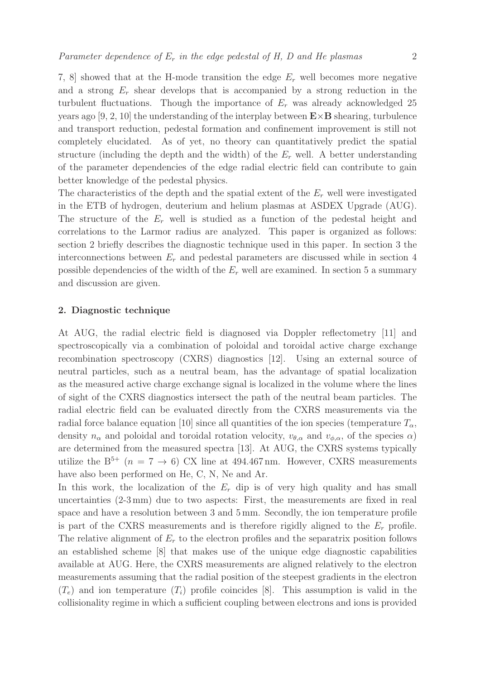7, 8] showed that at the H-mode transition the edge  $E_r$  well becomes more negative and a strong  $E_r$  shear develops that is accompanied by a strong reduction in the turbulent fluctuations. Though the importance of  $E<sub>r</sub>$  was already acknowledged 25 years ago [9, 2, 10] the understanding of the interplay between  $\mathbf{E} \times \mathbf{B}$  shearing, turbulence and transport reduction, pedestal formation and confinement improvement is still not completely elucidated. As of yet, no theory can quantitatively predict the spatial structure (including the depth and the width) of the  $E_r$  well. A better understanding of the parameter dependencies of the edge radial electric field can contribute to gain better knowledge of the pedestal physics.

The characteristics of the depth and the spatial extent of the  $E_r$  well were investigated in the ETB of hydrogen, deuterium and helium plasmas at ASDEX Upgrade (AUG). The structure of the  $E_r$  well is studied as a function of the pedestal height and correlations to the Larmor radius are analyzed. This paper is organized as follows: section 2 briefly describes the diagnostic technique used in this paper. In section 3 the interconnections between  $E_r$  and pedestal parameters are discussed while in section 4 possible dependencies of the width of the  $E<sub>r</sub>$  well are examined. In section 5 a summary and discussion are given.

## 2. Diagnostic technique

At AUG, the radial electric field is diagnosed via Doppler reflectometry [11] and spectroscopically via a combination of poloidal and toroidal active charge exchange recombination spectroscopy (CXRS) diagnostics [12]. Using an external source of neutral particles, such as a neutral beam, has the advantage of spatial localization as the measured active charge exchange signal is localized in the volume where the lines of sight of the CXRS diagnostics intersect the path of the neutral beam particles. The radial electric field can be evaluated directly from the CXRS measurements via the radial force balance equation [10] since all quantities of the ion species (temperature  $T_{\alpha}$ , density  $n_{\alpha}$  and poloidal and toroidal rotation velocity,  $v_{\theta,\alpha}$  and  $v_{\phi,\alpha}$ , of the species  $\alpha$ ) are determined from the measured spectra [13]. At AUG, the CXRS systems typically utilize the  $B^{5+}$   $(n = 7 \rightarrow 6)$  CX line at 494.467 nm. However, CXRS measurements have also been performed on He, C, N, Ne and Ar.

In this work, the localization of the  $E_r$  dip is of very high quality and has small uncertainties (2-3 mm) due to two aspects: First, the measurements are fixed in real space and have a resolution between 3 and 5 mm. Secondly, the ion temperature profile is part of the CXRS measurements and is therefore rigidly aligned to the  $E_r$  profile. The relative alignment of  $E_r$  to the electron profiles and the separatrix position follows an established scheme [8] that makes use of the unique edge diagnostic capabilities available at AUG. Here, the CXRS measurements are aligned relatively to the electron measurements assuming that the radial position of the steepest gradients in the electron  $(T_e)$  and ion temperature  $(T_i)$  profile coincides [8]. This assumption is valid in the collisionality regime in which a sufficient coupling between electrons and ions is provided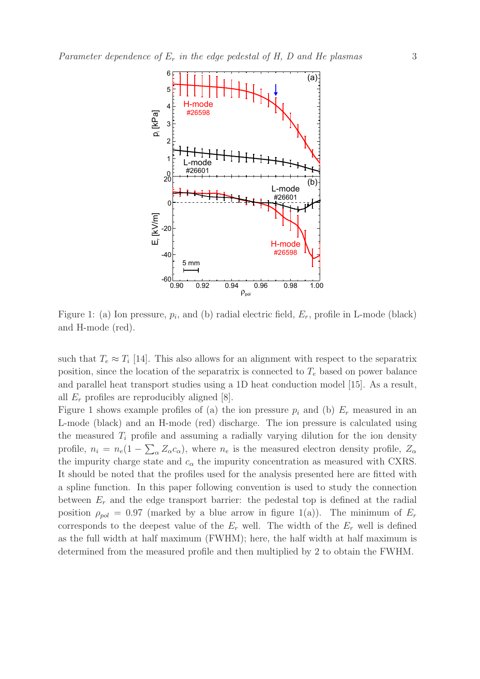

Figure 1: (a) Ion pressure,  $p_i$ , and (b) radial electric field,  $E_r$ , profile in L-mode (black) and H-mode (red).

such that  $T_e \approx T_i$  [14]. This also allows for an alignment with respect to the separatrix position, since the location of the separatrix is connected to  $T_e$  based on power balance and parallel heat transport studies using a 1D heat conduction model [15]. As a result, all  $E_r$  profiles are reproducibly aligned [8].

Figure 1 shows example profiles of (a) the ion pressure  $p_i$  and (b)  $E_r$  measured in an L-mode (black) and an H-mode (red) discharge. The ion pressure is calculated using the measured  $T_i$  profile and assuming a radially varying dilution for the ion density profile,  $n_i = n_e(1 - \sum_{\alpha} Z_{\alpha} c_{\alpha})$ , where  $n_e$  is the measured electron density profile,  $Z_{\alpha}$ the impurity charge state and  $c_{\alpha}$  the impurity concentration as measured with CXRS. It should be noted that the profiles used for the analysis presented here are fitted with a spline function. In this paper following convention is used to study the connection between  $E_r$  and the edge transport barrier: the pedestal top is defined at the radial position  $\rho_{pol} = 0.97$  (marked by a blue arrow in figure 1(a)). The minimum of  $E_r$ corresponds to the deepest value of the  $E_r$  well. The width of the  $E_r$  well is defined as the full width at half maximum (FWHM); here, the half width at half maximum is determined from the measured profile and then multiplied by 2 to obtain the FWHM.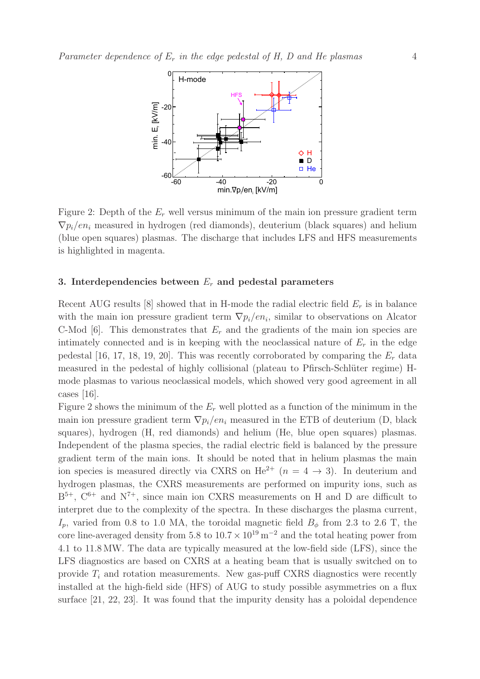

Figure 2: Depth of the  $E_r$  well versus minimum of the main ion pressure gradient term  $\nabla p_i / en_i$  measured in hydrogen (red diamonds), deuterium (black squares) and helium (blue open squares) plasmas. The discharge that includes LFS and HFS measurements is highlighted in magenta.

### 3. Interdependencies between  $E_r$  and pedestal parameters

Recent AUG results [8] showed that in H-mode the radial electric field  $E_r$  is in balance with the main ion pressure gradient term  $\nabla p_i / en_i$ , similar to observations on Alcator C-Mod [6]. This demonstrates that  $E_r$  and the gradients of the main ion species are intimately connected and is in keeping with the neoclassical nature of  $E_r$  in the edge pedestal [16, 17, 18, 19, 20]. This was recently corroborated by comparing the  $E_r$  data measured in the pedestal of highly collisional (plateau to Pfirsch-Schlüter regime) Hmode plasmas to various neoclassical models, which showed very good agreement in all cases [16].

Figure 2 shows the minimum of the  $E_r$  well plotted as a function of the minimum in the main ion pressure gradient term  $\nabla p_i/en_i$  measured in the ETB of deuterium (D, black squares), hydrogen (H, red diamonds) and helium (He, blue open squares) plasmas. Independent of the plasma species, the radial electric field is balanced by the pressure gradient term of the main ions. It should be noted that in helium plasmas the main ion species is measured directly via CXRS on He<sup>2+</sup> ( $n = 4 \rightarrow 3$ ). In deuterium and hydrogen plasmas, the CXRS measurements are performed on impurity ions, such as  $B^{5+}$ ,  $C^{6+}$  and  $N^{7+}$ , since main ion CXRS measurements on H and D are difficult to interpret due to the complexity of the spectra. In these discharges the plasma current,  $I_p$ , varied from 0.8 to 1.0 MA, the toroidal magnetic field  $B_\phi$  from 2.3 to 2.6 T, the core line-averaged density from 5.8 to  $10.7 \times 10^{19}$  m<sup>-2</sup> and the total heating power from 4.1 to 11.8 MW. The data are typically measured at the low-field side (LFS), since the LFS diagnostics are based on CXRS at a heating beam that is usually switched on to provide  $T_i$  and rotation measurements. New gas-puff CXRS diagnostics were recently installed at the high-field side (HFS) of AUG to study possible asymmetries on a flux surface [21, 22, 23]. It was found that the impurity density has a poloidal dependence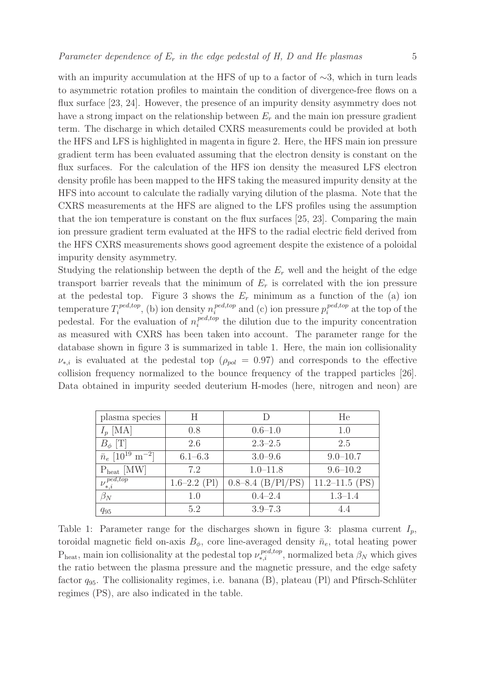with an impurity accumulation at the HFS of up to a factor of  $\sim$ 3, which in turn leads to asymmetric rotation profiles to maintain the condition of divergence-free flows on a flux surface [23, 24]. However, the presence of an impurity density asymmetry does not have a strong impact on the relationship between  $E_r$  and the main ion pressure gradient term. The discharge in which detailed CXRS measurements could be provided at both the HFS and LFS is highlighted in magenta in figure 2. Here, the HFS main ion pressure gradient term has been evaluated assuming that the electron density is constant on the flux surfaces. For the calculation of the HFS ion density the measured LFS electron density profile has been mapped to the HFS taking the measured impurity density at the HFS into account to calculate the radially varying dilution of the plasma. Note that the CXRS measurements at the HFS are aligned to the LFS profiles using the assumption that the ion temperature is constant on the flux surfaces [25, 23]. Comparing the main ion pressure gradient term evaluated at the HFS to the radial electric field derived from the HFS CXRS measurements shows good agreement despite the existence of a poloidal impurity density asymmetry.

Studying the relationship between the depth of the  $E_r$  well and the height of the edge transport barrier reveals that the minimum of  $E_r$  is correlated with the ion pressure at the pedestal top. Figure 3 shows the  $E_r$  minimum as a function of the (a) ion temperature  $T_i^{ped,top}$  $\sum_{i}^{ped,top}$ , (b) ion density  $n_i^{ped,top}$  $_{i}^{ped,top}$  and (c) ion pressure  $p_{i}^{ped,top}$  $i^{pea,top}$  at the top of the pedestal. For the evaluation of  $n_i^{ped,top}$  $t_i^{pea, top}$  the dilution due to the impurity concentration as measured with CXRS has been taken into account. The parameter range for the database shown in figure 3 is summarized in table 1. Here, the main ion collisionality  $\nu_{*,i}$  is evaluated at the pedestal top ( $\rho_{pol} = 0.97$ ) and corresponds to the effective collision frequency normalized to the bounce frequency of the trapped particles [26]. Data obtained in impurity seeded deuterium H-modes (here, nitrogen and neon) are

| plasma species                                  | Η                |                       | He                 |
|-------------------------------------------------|------------------|-----------------------|--------------------|
| $I_p$ [MA]                                      | 0.8              | $0.6 - 1.0$           | 1.0                |
| $B_{\phi}$ [T]                                  | 2.6              | $2.3 - 2.5$           | 2.5                |
| $\bar{n}_e$ [10 <sup>19</sup> m <sup>-2</sup> ] | $6.1 - 6.3$      | $3.0 - 9.6$           | $9.0 - 10.7$       |
| $P_{heat}$ [MW]                                 | 7.2              | $1.0 - 11.8$          | $9.6 - 10.2$       |
| $\overline{\nu_{*,i}^{\textit{ped,top}}}$       | $1.6 - 2.2$ (Pl) | $0.8 - 8.4$ (B/Pl/PS) | $11.2 - 11.5$ (PS) |
| $\beta_N$                                       | 1.0              | $0.4 - 2.4$           | $1.3 - 1.4$        |
| $q_{95}$                                        | 5.2              | $3.9 - 7.3$           |                    |

Table 1: Parameter range for the discharges shown in figure 3: plasma current  $I_p$ , toroidal magnetic field on-axis  $B_{\phi}$ , core line-averaged density  $\bar{n}_e$ , total heating power  $P_{heat}$ , main ion collisionality at the pedestal top  $\nu_{*,i}^{ped,top}$ , normalized beta  $\beta_N$  which gives the ratio between the plasma pressure and the magnetic pressure, and the edge safety factor  $q_{95}$ . The collisionality regimes, i.e. banana (B), plateau (Pl) and Pfirsch-Schlüter regimes (PS), are also indicated in the table.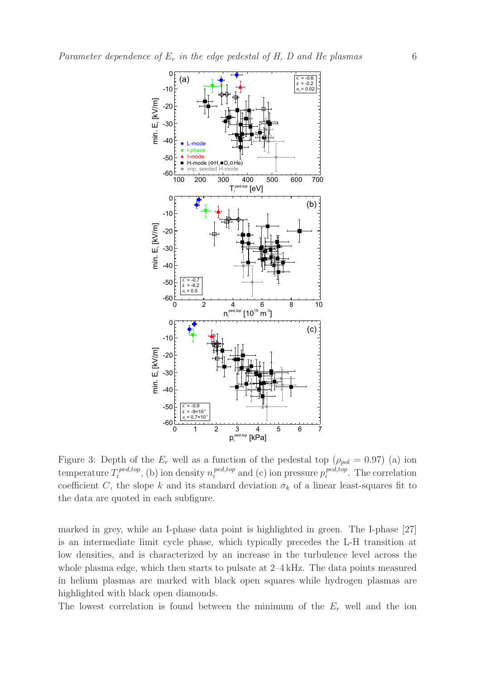

Figure 3: Depth of the  $E_r$  well as a function of the pedestal top ( $\rho_{pol} = 0.97$ ) (a) ion temperature  $T_i^{ped,top}$  $\sum_{i}^{ped,top}$ , (b) ion density  $n_i^{ped,top}$  $_{i}^{ped,top}$  and (c) ion pressure  $p_{i}^{ped,top}$  $i^{pea, top}$ . The correlation coefficient C, the slope k and its standard deviation  $\sigma_k$  of a linear least-squares fit to the data are quoted in each subfigure.

marked in grey, while an I-phase data point is highlighted in green. The I-phase [27] is an intermediate limit cycle phase, which typically precedes the L-H transition at low densities, and is characterized by an increase in the turbulence level across the whole plasma edge, which then starts to pulsate at 2–4 kHz. The data points measured in helium plasmas are marked with black open squares while hydrogen plasmas are highlighted with black open diamonds.

The lowest correlation is found between the minimum of the  $E<sub>r</sub>$  well and the ion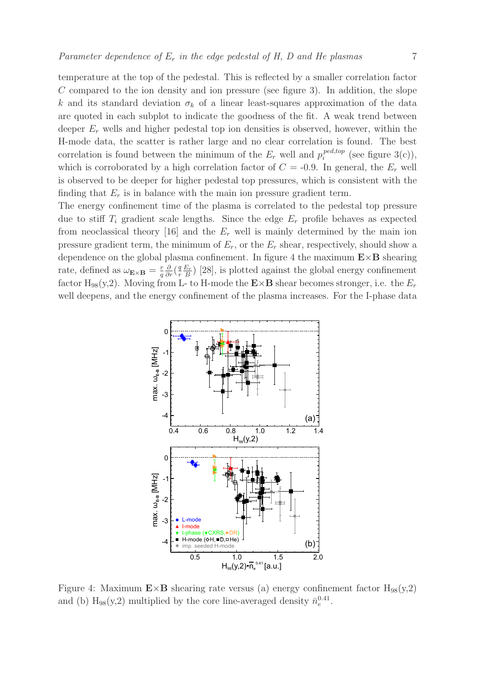temperature at the top of the pedestal. This is reflected by a smaller correlation factor  $C$  compared to the ion density and ion pressure (see figure 3). In addition, the slope k and its standard deviation  $\sigma_k$  of a linear least-squares approximation of the data are quoted in each subplot to indicate the goodness of the fit. A weak trend between deeper  $E_r$  wells and higher pedestal top ion densities is observed, however, within the H-mode data, the scatter is rather large and no clear correlation is found. The best correlation is found between the minimum of the  $E_r$  well and  $p_i^{ped,top}$  $i^{pea, top}$  (see figure 3(c)), which is corroborated by a high correlation factor of  $C = -0.9$ . In general, the  $E_r$  well is observed to be deeper for higher pedestal top pressures, which is consistent with the finding that  $E_r$  is in balance with the main ion pressure gradient term.

The energy confinement time of the plasma is correlated to the pedestal top pressure due to stiff  $T_i$  gradient scale lengths. Since the edge  $E_r$  profile behaves as expected from neoclassical theory [16] and the  $E_r$  well is mainly determined by the main ion pressure gradient term, the minimum of  $E_r$ , or the  $E_r$  shear, respectively, should show a dependence on the global plasma confinement. In figure 4 the maximum  $E \times B$  shearing rate, defined as  $\omega_{\mathbf{E}\times\mathbf{B}} = \frac{r}{q}$  $\overline{q}$  $\frac{\partial}{\partial r} \left( \frac{q}{r} \right)$  $\boldsymbol{r}$  $E_r$  $\frac{E_F}{B}$ ) [28], is plotted against the global energy confinement factor H<sub>98</sub>(y,2). Moving from L- to H-mode the  $\mathbf{E} \times \mathbf{B}$  shear becomes stronger, i.e. the  $E_r$ well deepens, and the energy confinement of the plasma increases. For the I-phase data



Figure 4: Maximum  $\mathbf{E} \times \mathbf{B}$  shearing rate versus (a) energy confinement factor  $H_{98}(y,2)$ and (b)  $H_{98}(y,2)$  multiplied by the core line-averaged density  $\bar{n}_e^{0.41}$ .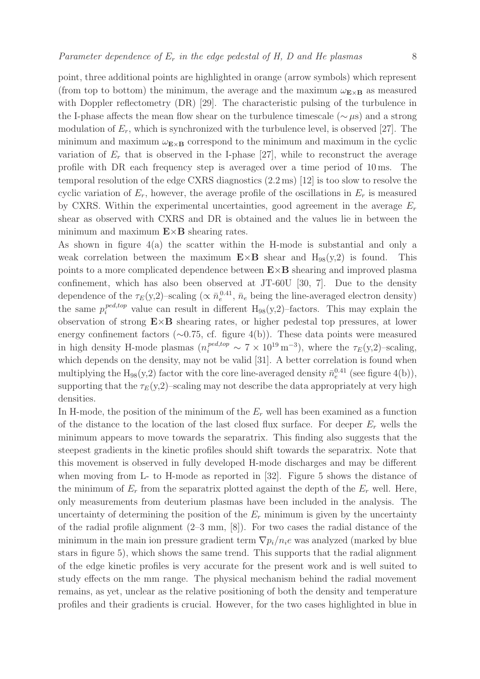point, three additional points are highlighted in orange (arrow symbols) which represent (from top to bottom) the minimum, the average and the maximum  $\omega_{\mathbf{E}\times\mathbf{B}}$  as measured with Doppler reflectometry (DR) [29]. The characteristic pulsing of the turbulence in the I-phase affects the mean flow shear on the turbulence timescale ( $\sim \mu s$ ) and a strong modulation of  $E_r$ , which is synchronized with the turbulence level, is observed [27]. The minimum and maximum  $\omega_{\mathbf{E}\times\mathbf{B}}$  correspond to the minimum and maximum in the cyclic variation of  $E_r$  that is observed in the I-phase [27], while to reconstruct the average profile with DR each frequency step is averaged over a time period of 10 ms. The

temporal resolution of the edge CXRS diagnostics (2.2 ms) [12] is too slow to resolve the cyclic variation of  $E_r$ , however, the average profile of the oscillations in  $E_r$  is measured by CXRS. Within the experimental uncertainties, good agreement in the average  $E_r$ shear as observed with CXRS and DR is obtained and the values lie in between the minimum and maximum  $E \times B$  shearing rates.

As shown in figure 4(a) the scatter within the H-mode is substantial and only a weak correlation between the maximum  $E \times B$  shear and  $H_{98}(y,2)$  is found. This points to a more complicated dependence between  $E \times B$  shearing and improved plasma confinement, which has also been observed at JT-60U [30, 7]. Due to the density dependence of the  $\tau_E(y,2)$ –scaling ( $\propto \bar{n}_e^{0.41}$  $_e^{0.41}$ ,  $\bar{n}_e$  being the line-averaged electron density) the same  $p_i^{ped,top}$  value can result in different  $H_{98}(y,2)$ -factors. This may explain the observation of strong  $E \times B$  shearing rates, or higher pedestal top pressures, at lower energy confinement factors (∼0.75, cf. figure 4(b)). These data points were measured in high density H-mode plasmas  $(n_i^{ped,top} \sim 7 \times 10^{19} \,\mathrm{m}^{-3})$ , where the  $\tau_E(y,2)$ -scaling, which depends on the density, may not be valid [31]. A better correlation is found when multiplying the  $H_{98}(y,2)$  factor with the core line-averaged density  $\bar{n}_e^{0.41}$  (see figure 4(b)), supporting that the  $\tau_E(y,2)$ –scaling may not describe the data appropriately at very high densities.

In H-mode, the position of the minimum of the  $E<sub>r</sub>$  well has been examined as a function of the distance to the location of the last closed flux surface. For deeper  $E_r$  wells the minimum appears to move towards the separatrix. This finding also suggests that the steepest gradients in the kinetic profiles should shift towards the separatrix. Note that this movement is observed in fully developed H-mode discharges and may be different when moving from L- to H-mode as reported in [32]. Figure 5 shows the distance of the minimum of  $E_r$  from the separatrix plotted against the depth of the  $E_r$  well. Here, only measurements from deuterium plasmas have been included in the analysis. The uncertainty of determining the position of the  $E_r$  minimum is given by the uncertainty of the radial profile alignment (2–3 mm, [8]). For two cases the radial distance of the minimum in the main ion pressure gradient term  $\nabla p_i/n_i e$  was analyzed (marked by blue stars in figure 5), which shows the same trend. This supports that the radial alignment of the edge kinetic profiles is very accurate for the present work and is well suited to study effects on the mm range. The physical mechanism behind the radial movement remains, as yet, unclear as the relative positioning of both the density and temperature profiles and their gradients is crucial. However, for the two cases highlighted in blue in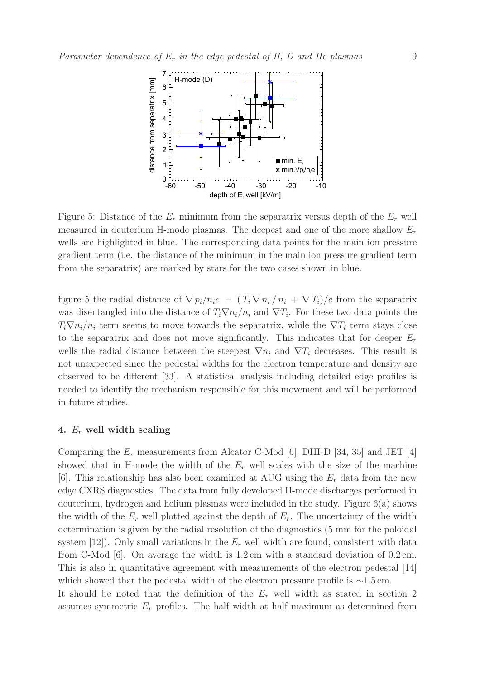

Figure 5: Distance of the  $E_r$  minimum from the separatrix versus depth of the  $E_r$  well measured in deuterium H-mode plasmas. The deepest and one of the more shallow  $E_r$ wells are highlighted in blue. The corresponding data points for the main ion pressure gradient term (i.e. the distance of the minimum in the main ion pressure gradient term from the separatrix) are marked by stars for the two cases shown in blue.

figure 5 the radial distance of  $\nabla p_i/n_i e = (T_i \nabla n_i/n_i + \nabla T_i)/e$  from the separatrix was disentangled into the distance of  $T_i \nabla n_i/n_i$  and  $\nabla T_i$ . For these two data points the  $T_i \nabla n_i/n_i$  term seems to move towards the separatrix, while the  $\nabla T_i$  term stays close to the separatrix and does not move significantly. This indicates that for deeper  $E_r$ wells the radial distance between the steepest  $\nabla n_i$  and  $\nabla T_i$  decreases. This result is not unexpected since the pedestal widths for the electron temperature and density are observed to be different [33]. A statistical analysis including detailed edge profiles is needed to identify the mechanism responsible for this movement and will be performed in future studies.

# 4.  $E_r$  well width scaling

Comparing the  $E_r$  measurements from Alcator C-Mod [6], DIII-D [34, 35] and JET [4] showed that in H-mode the width of the  $E_r$  well scales with the size of the machine [6]. This relationship has also been examined at AUG using the  $E_r$  data from the new edge CXRS diagnostics. The data from fully developed H-mode discharges performed in deuterium, hydrogen and helium plasmas were included in the study. Figure 6(a) shows the width of the  $E_r$  well plotted against the depth of  $E_r$ . The uncertainty of the width determination is given by the radial resolution of the diagnostics (5 mm for the poloidal system [12]). Only small variations in the  $E_r$  well width are found, consistent with data from C-Mod [6]. On average the width is 1.2 cm with a standard deviation of 0.2 cm. This is also in quantitative agreement with measurements of the electron pedestal [14] which showed that the pedestal width of the electron pressure profile is  $\sim$ 1.5 cm. It should be noted that the definition of the  $E<sub>r</sub>$  well width as stated in section 2 assumes symmetric  $E_r$  profiles. The half width at half maximum as determined from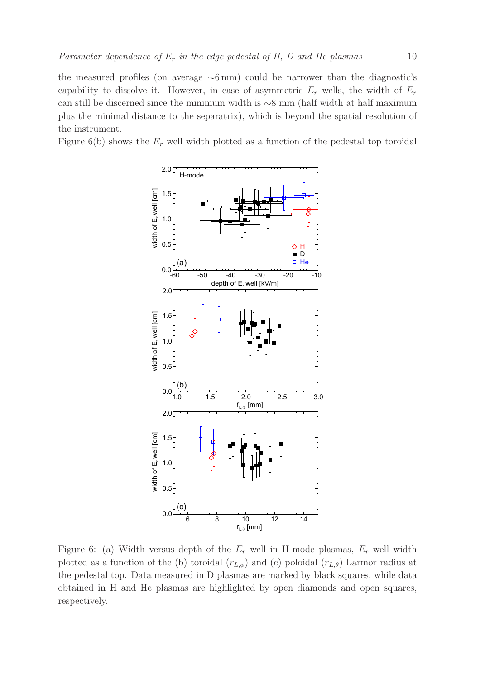the measured profiles (on average  $\sim 6 \,\mathrm{mm}$ ) could be narrower than the diagnostic's capability to dissolve it. However, in case of asymmetric  $E_r$  wells, the width of  $E_r$ can still be discerned since the minimum width is ∼8 mm (half width at half maximum plus the minimal distance to the separatrix), which is beyond the spatial resolution of the instrument.

Figure 6(b) shows the  $E_r$  well width plotted as a function of the pedestal top toroidal



Figure 6: (a) Width versus depth of the  $E_r$  well in H-mode plasmas,  $E_r$  well width plotted as a function of the (b) toroidal  $(r_{L,\phi})$  and (c) poloidal  $(r_{L,\theta})$  Larmor radius at the pedestal top. Data measured in D plasmas are marked by black squares, while data obtained in H and He plasmas are highlighted by open diamonds and open squares, respectively.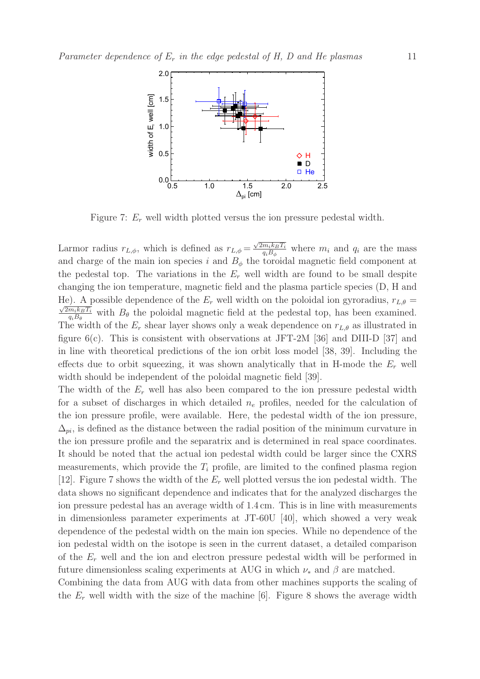

Figure 7:  $E_r$  well width plotted versus the ion pressure pedestal width.

Larmor radius  $r_{L,\phi}$ , which is defined as  $r_{L,\phi} = \frac{\sqrt{2m_ik_B T_i}}{a_i B_i}$  $\frac{m_i k_B T_i}{q_i B_\phi}$  where  $m_i$  and  $q_i$  are the mass and charge of the main ion species i and  $B_{\phi}$  the toroidal magnetic field component at the pedestal top. The variations in the  $E_r$  well width are found to be small despite changing the ion temperature, magnetic field and the plasma particle species (D, H and He). A possible dependence of the  $E_r$  well width on the poloidal ion gyroradius,  $r_{L,\theta} =$  $2m_ik_BT_i$  $\frac{m_i k_B T_i}{q_i B_\theta}$  with  $B_\theta$  the poloidal magnetic field at the pedestal top, has been examined. The width of the  $E_r$  shear layer shows only a weak dependence on  $r_{L,\theta}$  as illustrated in figure  $6(c)$ . This is consistent with observations at JFT-2M [36] and DIII-D [37] and in line with theoretical predictions of the ion orbit loss model [38, 39]. Including the effects due to orbit squeezing, it was shown analytically that in H-mode the  $E_r$  well width should be independent of the poloidal magnetic field [39].

The width of the  $E_r$  well has also been compared to the ion pressure pedestal width for a subset of discharges in which detailed  $n_e$  profiles, needed for the calculation of the ion pressure profile, were available. Here, the pedestal width of the ion pressure,  $\Delta_{ni}$ , is defined as the distance between the radial position of the minimum curvature in the ion pressure profile and the separatrix and is determined in real space coordinates. It should be noted that the actual ion pedestal width could be larger since the CXRS measurements, which provide the  $T_i$  profile, are limited to the confined plasma region [12]. Figure 7 shows the width of the  $E_r$  well plotted versus the ion pedestal width. The data shows no significant dependence and indicates that for the analyzed discharges the ion pressure pedestal has an average width of 1.4 cm. This is in line with measurements in dimensionless parameter experiments at JT-60U [40], which showed a very weak dependence of the pedestal width on the main ion species. While no dependence of the ion pedestal width on the isotope is seen in the current dataset, a detailed comparison of the  $E_r$  well and the ion and electron pressure pedestal width will be performed in future dimensionless scaling experiments at AUG in which  $\nu_*$  and  $\beta$  are matched.

Combining the data from AUG with data from other machines supports the scaling of the  $E_r$  well width with the size of the machine [6]. Figure 8 shows the average width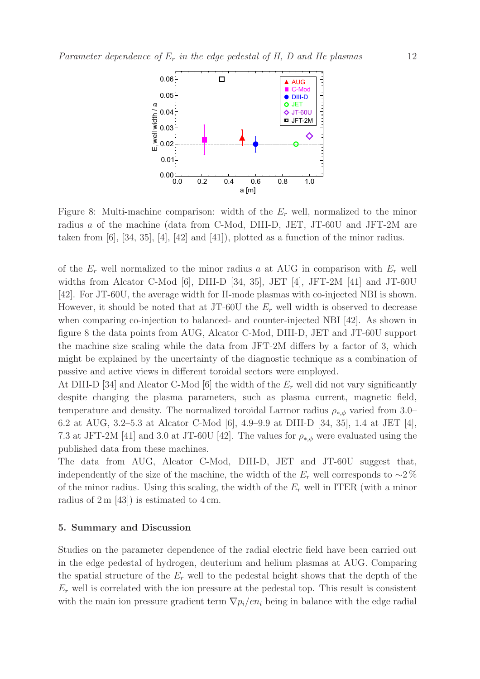

Figure 8: Multi-machine comparison: width of the  $E<sub>r</sub>$  well, normalized to the minor radius  $a$  of the machine (data from C-Mod, DIII-D, JET, JT-60U and JFT-2M are taken from  $[6]$ ,  $[34, 35]$ ,  $[4]$ ,  $[42]$  and  $[41]$ ), plotted as a function of the minor radius.

of the  $E_r$  well normalized to the minor radius a at AUG in comparison with  $E_r$  well widths from Alcator C-Mod [6], DIII-D [34, 35], JET [4], JFT-2M [41] and JT-60U [42]. For JT-60U, the average width for H-mode plasmas with co-injected NBI is shown. However, it should be noted that at JT-60U the  $E_r$  well width is observed to decrease when comparing co-injection to balanced- and counter-injected NBI [42]. As shown in figure 8 the data points from AUG, Alcator C-Mod, DIII-D, JET and JT-60U support the machine size scaling while the data from JFT-2M differs by a factor of 3, which might be explained by the uncertainty of the diagnostic technique as a combination of passive and active views in different toroidal sectors were employed.

At DIII-D [34] and Alcator C-Mod [6] the width of the  $E_r$  well did not vary significantly despite changing the plasma parameters, such as plasma current, magnetic field, temperature and density. The normalized toroidal Larmor radius  $\rho_{*,\phi}$  varied from 3.0– 6.2 at AUG, 3.2–5.3 at Alcator C-Mod [6], 4.9–9.9 at DIII-D [34, 35], 1.4 at JET [4], 7.3 at JFT-2M [41] and 3.0 at JT-60U [42]. The values for  $\rho_{*,\phi}$  were evaluated using the published data from these machines.

The data from AUG, Alcator C-Mod, DIII-D, JET and JT-60U suggest that, independently of the size of the machine, the width of the  $E_r$  well corresponds to  $\sim$ 2 % of the minor radius. Using this scaling, the width of the  $E<sub>r</sub>$  well in ITER (with a minor radius of  $2 \text{ m}$  [43]) is estimated to  $4 \text{ cm}$ .

# 5. Summary and Discussion

Studies on the parameter dependence of the radial electric field have been carried out in the edge pedestal of hydrogen, deuterium and helium plasmas at AUG. Comparing the spatial structure of the  $E_r$  well to the pedestal height shows that the depth of the  $E_r$  well is correlated with the ion pressure at the pedestal top. This result is consistent with the main ion pressure gradient term  $\nabla p_i/en_i$  being in balance with the edge radial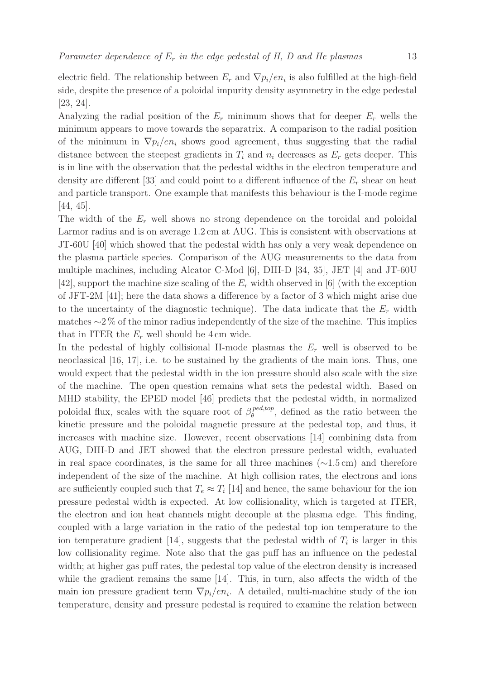electric field. The relationship between  $E_r$  and  $\nabla p_i / en_i$  is also fulfilled at the high-field side, despite the presence of a poloidal impurity density asymmetry in the edge pedestal [23, 24].

Analyzing the radial position of the  $E_r$  minimum shows that for deeper  $E_r$  wells the minimum appears to move towards the separatrix. A comparison to the radial position of the minimum in  $\nabla p_i/en_i$  shows good agreement, thus suggesting that the radial distance between the steepest gradients in  $T_i$  and  $n_i$  decreases as  $E_r$  gets deeper. This is in line with the observation that the pedestal widths in the electron temperature and density are different [33] and could point to a different influence of the  $E_r$  shear on heat and particle transport. One example that manifests this behaviour is the I-mode regime [44, 45].

The width of the  $E_r$  well shows no strong dependence on the toroidal and poloidal Larmor radius and is on average 1.2 cm at AUG. This is consistent with observations at JT-60U [40] which showed that the pedestal width has only a very weak dependence on the plasma particle species. Comparison of the AUG measurements to the data from multiple machines, including Alcator C-Mod [6], DIII-D [34, 35], JET [4] and JT-60U [42], support the machine size scaling of the  $E_r$  width observed in [6] (with the exception of JFT-2M [41]; here the data shows a difference by a factor of 3 which might arise due to the uncertainty of the diagnostic technique). The data indicate that the  $E_r$  width matches ∼2 % of the minor radius independently of the size of the machine. This implies that in ITER the  $E_r$  well should be 4 cm wide.

In the pedestal of highly collisional H-mode plasmas the  $E_r$  well is observed to be neoclassical [16, 17], i.e. to be sustained by the gradients of the main ions. Thus, one would expect that the pedestal width in the ion pressure should also scale with the size of the machine. The open question remains what sets the pedestal width. Based on MHD stability, the EPED model [46] predicts that the pedestal width, in normalized poloidal flux, scales with the square root of  $\beta_{\theta}^{ped,top}$  $_{\theta}^{peak,top}$ , defined as the ratio between the kinetic pressure and the poloidal magnetic pressure at the pedestal top, and thus, it increases with machine size. However, recent observations [14] combining data from AUG, DIII-D and JET showed that the electron pressure pedestal width, evaluated in real space coordinates, is the same for all three machines (∼1.5 cm) and therefore independent of the size of the machine. At high collision rates, the electrons and ions are sufficiently coupled such that  $T_e \approx T_i$  [14] and hence, the same behaviour for the ion pressure pedestal width is expected. At low collisionality, which is targeted at ITER, the electron and ion heat channels might decouple at the plasma edge. This finding, coupled with a large variation in the ratio of the pedestal top ion temperature to the ion temperature gradient [14], suggests that the pedestal width of  $T_i$  is larger in this low collisionality regime. Note also that the gas puff has an influence on the pedestal width; at higher gas puff rates, the pedestal top value of the electron density is increased while the gradient remains the same [14]. This, in turn, also affects the width of the main ion pressure gradient term  $\nabla p_i/en_i$ . A detailed, multi-machine study of the ion temperature, density and pressure pedestal is required to examine the relation between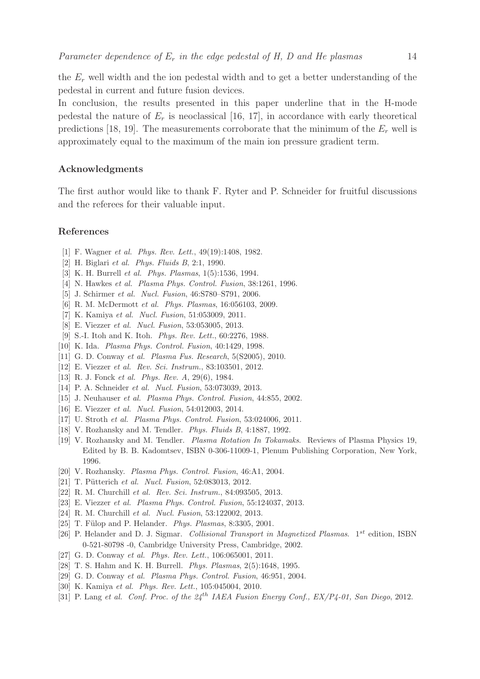the  $E_r$  well width and the ion pedestal width and to get a better understanding of the pedestal in current and future fusion devices.

In conclusion, the results presented in this paper underline that in the H-mode pedestal the nature of  $E_r$  is neoclassical [16, 17], in accordance with early theoretical predictions [18, 19]. The measurements corroborate that the minimum of the  $E<sub>r</sub>$  well is approximately equal to the maximum of the main ion pressure gradient term.

# Acknowledgments

The first author would like to thank F. Ryter and P. Schneider for fruitful discussions and the referees for their valuable input.

# References

- [1] F. Wagner *et al. Phys. Rev. Lett.*, 49(19):1408, 1982.
- [2] H. Biglari et al. Phys. Fluids B, 2:1, 1990.
- [3] K. H. Burrell et al. Phys. Plasmas, 1(5):1536, 1994.
- [4] N. Hawkes et al. Plasma Phys. Control. Fusion, 38:1261, 1996.
- [5] J. Schirmer et al. Nucl. Fusion, 46:S780–S791, 2006.
- [6] R. M. McDermott et al. Phys. Plasmas, 16:056103, 2009.
- [7] K. Kamiya et al. Nucl. Fusion, 51:053009, 2011.
- [8] E. Viezzer et al. Nucl. Fusion, 53:053005, 2013.
- [9] S.-I. Itoh and K. Itoh. Phys. Rev. Lett., 60:2276, 1988.
- [10] K. Ida. Plasma Phys. Control. Fusion, 40:1429, 1998.
- [11] G. D. Conway et al. Plasma Fus. Research, 5(S2005), 2010.
- [12] E. Viezzer et al. Rev. Sci. Instrum., 83:103501, 2012.
- [13] R. J. Fonck *et al. Phys. Rev. A*, 29(6), 1984.
- [14] P. A. Schneider et al. Nucl. Fusion, 53:073039, 2013.
- [15] J. Neuhauser et al. Plasma Phys. Control. Fusion, 44:855, 2002.
- [16] E. Viezzer et al. Nucl. Fusion, 54:012003, 2014.
- [17] U. Stroth et al. Plasma Phys. Control. Fusion, 53:024006, 2011.
- [18] V. Rozhansky and M. Tendler. Phys. Fluids B, 4:1887, 1992.
- [19] V. Rozhansky and M. Tendler. Plasma Rotation In Tokamaks. Reviews of Plasma Physics 19, Edited by B. B. Kadomtsev, ISBN 0-306-11009-1, Plenum Publishing Corporation, New York, 1996.
- [20] V. Rozhansky. Plasma Phys. Control. Fusion, 46:A1, 2004.
- [21] T. Pütterich et al. Nucl. Fusion, 52:083013, 2012.
- [22] R. M. Churchill et al. Rev. Sci. Instrum., 84:093505, 2013.
- [23] E. Viezzer et al. Plasma Phys. Control. Fusion, 55:124037, 2013.
- [24] R. M. Churchill et al. Nucl. Fusion, 53:122002, 2013.
- [25] T. Fülop and P. Helander. *Phys. Plasmas*, 8:3305, 2001.
- [26] P. Helander and D. J. Sigmar. Collisional Transport in Magnetized Plasmas.  $1^{st}$  edition, ISBN 0-521-80798 -0, Cambridge University Press, Cambridge, 2002.
- [27] G. D. Conway et al. Phys. Rev. Lett., 106:065001, 2011.
- [28] T. S. Hahm and K. H. Burrell. Phys. Plasmas, 2(5):1648, 1995.
- [29] G. D. Conway et al. Plasma Phys. Control. Fusion, 46:951, 2004.
- [30] K. Kamiya et al. Phys. Rev. Lett., 105:045004, 2010.
- [31] P. Lang et al. Conf. Proc. of the  $24^{th}$  IAEA Fusion Energy Conf.,  $EX/P_4$ -01, San Diego, 2012.